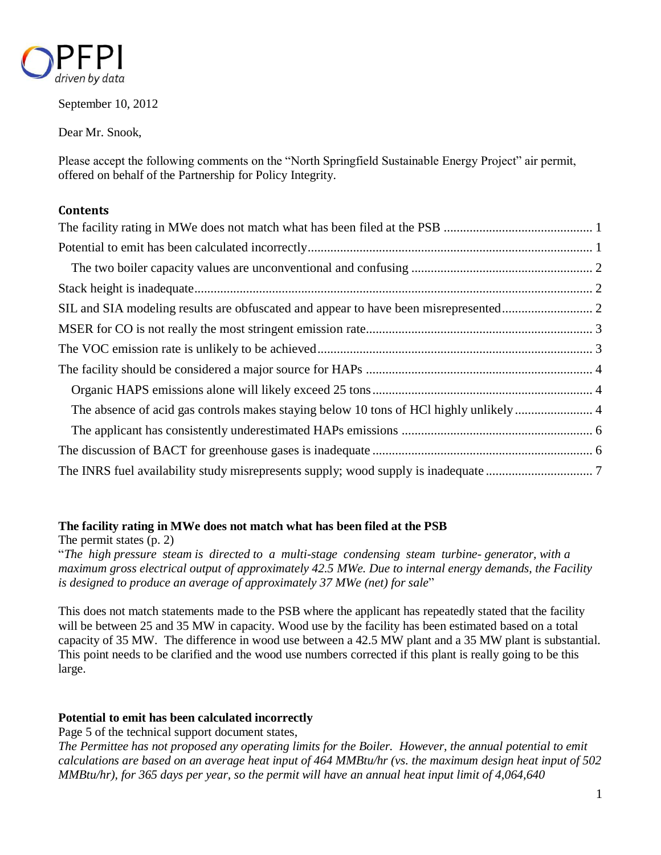

September 10, 2012

Dear Mr. Snook,

Please accept the following comments on the "North Springfield Sustainable Energy Project" air permit, offered on behalf of the Partnership for Policy Integrity.

# **Contents**

# <span id="page-0-0"></span>**The facility rating in MWe does not match what has been filed at the PSB**

The permit states (p. 2)

"*The high pressure steam is directed to a multi-stage condensing steam turbine- generator, with a maximum gross electrical output of approximately 42.5 MWe. Due to internal energy demands, the Facility is designed to produce an average of approximately 37 MWe (net) for sale*"

This does not match statements made to the PSB where the applicant has repeatedly stated that the facility will be between 25 and 35 MW in capacity. Wood use by the facility has been estimated based on a total capacity of 35 MW. The difference in wood use between a 42.5 MW plant and a 35 MW plant is substantial. This point needs to be clarified and the wood use numbers corrected if this plant is really going to be this large.

# <span id="page-0-1"></span>**Potential to emit has been calculated incorrectly**

Page 5 of the technical support document states,

*The Permittee has not proposed any operating limits for the Boiler. However, the annual potential to emit calculations are based on an average heat input of 464 MMBtu/hr (vs. the maximum design heat input of 502 MMBtu/hr), for 365 days per year, so the permit will have an annual heat input limit of 4,064,640*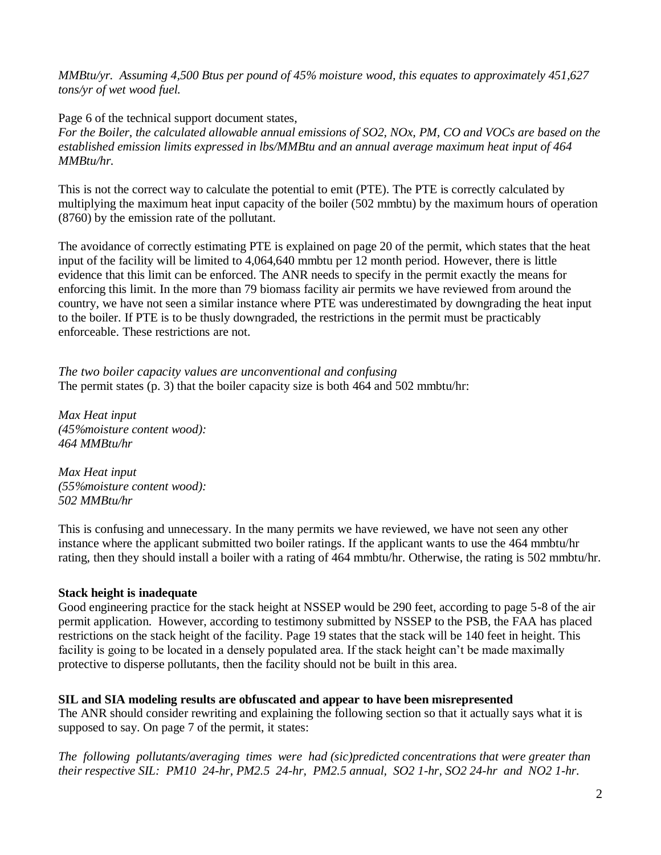*MMBtu/yr. Assuming 4,500 Btus per pound of 45% moisture wood, this equates to approximately 451,627 tons/yr of wet wood fuel.*

Page 6 of the technical support document states,

*For the Boiler, the calculated allowable annual emissions of SO2, NOx, PM, CO and VOCs are based on the established emission limits expressed in lbs/MMBtu and an annual average maximum heat input of 464 MMBtu/hr.*

This is not the correct way to calculate the potential to emit (PTE). The PTE is correctly calculated by multiplying the maximum heat input capacity of the boiler (502 mmbtu) by the maximum hours of operation (8760) by the emission rate of the pollutant.

The avoidance of correctly estimating PTE is explained on page 20 of the permit, which states that the heat input of the facility will be limited to 4,064,640 mmbtu per 12 month period. However, there is little evidence that this limit can be enforced. The ANR needs to specify in the permit exactly the means for enforcing this limit. In the more than 79 biomass facility air permits we have reviewed from around the country, we have not seen a similar instance where PTE was underestimated by downgrading the heat input to the boiler. If PTE is to be thusly downgraded, the restrictions in the permit must be practicably enforceable. These restrictions are not.

<span id="page-1-0"></span>*The two boiler capacity values are unconventional and confusing* The permit states (p. 3) that the boiler capacity size is both 464 and 502 mmbtu/hr:

*Max Heat input (45%moisture content wood): 464 MMBtu/hr* 

*Max Heat input (55%moisture content wood): 502 MMBtu/hr*

This is confusing and unnecessary. In the many permits we have reviewed, we have not seen any other instance where the applicant submitted two boiler ratings. If the applicant wants to use the 464 mmbtu/hr rating, then they should install a boiler with a rating of 464 mmbtu/hr. Otherwise, the rating is 502 mmbtu/hr.

# <span id="page-1-1"></span>**Stack height is inadequate**

Good engineering practice for the stack height at NSSEP would be 290 feet, according to page 5-8 of the air permit application. However, according to testimony submitted by NSSEP to the PSB, the FAA has placed restrictions on the stack height of the facility. Page 19 states that the stack will be 140 feet in height. This facility is going to be located in a densely populated area. If the stack height can't be made maximally protective to disperse pollutants, then the facility should not be built in this area.

#### <span id="page-1-2"></span>**SIL and SIA modeling results are obfuscated and appear to have been misrepresented**

The ANR should consider rewriting and explaining the following section so that it actually says what it is supposed to say. On page 7 of the permit, it states:

*The following pollutants/averaging times were had (sic)predicted concentrations that were greater than their respective SIL: PM10 24-hr, PM2.5 24-hr, PM2.5 annual, SO2 1-hr, SO2 24-hr and NO2 1-hr.*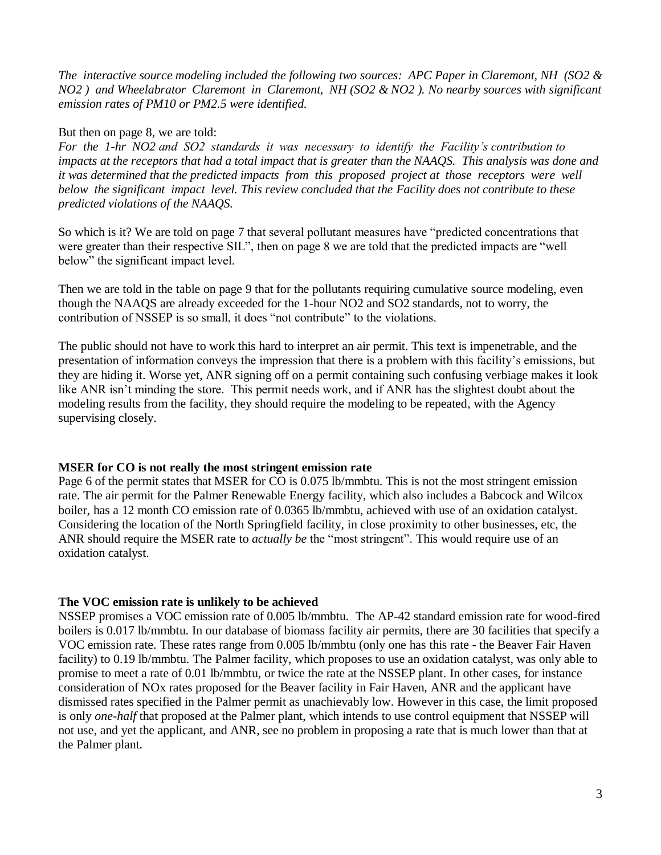*The interactive source modeling included the following two sources: APC Paper in Claremont, NH (SO2 & NO2 ) and Wheelabrator Claremont in Claremont, NH (SO2 & NO2 ). No nearby sources with significant emission rates of PM10 or PM2.5 were identified.*

#### But then on page 8, we are told:

*For the 1-hr NO2 and SO2 standards it was necessary to identify the Facility's contribution to impacts at the receptors that had a total impact that is greater than the NAAQS. This analysis was done and it was determined that the predicted impacts from this proposed project at those receptors were well below the significant impact level. This review concluded that the Facility does not contribute to these predicted violations of the NAAQS.*

So which is it? We are told on page 7 that several pollutant measures have "predicted concentrations that were greater than their respective SIL", then on page 8 we are told that the predicted impacts are "well below" the significant impact level.

Then we are told in the table on page 9 that for the pollutants requiring cumulative source modeling, even though the NAAQS are already exceeded for the 1-hour NO2 and SO2 standards, not to worry, the contribution of NSSEP is so small, it does "not contribute" to the violations.

The public should not have to work this hard to interpret an air permit. This text is impenetrable, and the presentation of information conveys the impression that there is a problem with this facility's emissions, but they are hiding it. Worse yet, ANR signing off on a permit containing such confusing verbiage makes it look like ANR isn't minding the store. This permit needs work, and if ANR has the slightest doubt about the modeling results from the facility, they should require the modeling to be repeated, with the Agency supervising closely.

# <span id="page-2-0"></span>**MSER for CO is not really the most stringent emission rate**

Page 6 of the permit states that MSER for CO is 0.075 lb/mmbtu. This is not the most stringent emission rate. The air permit for the Palmer Renewable Energy facility, which also includes a Babcock and Wilcox boiler, has a 12 month CO emission rate of 0.0365 lb/mmbtu, achieved with use of an oxidation catalyst. Considering the location of the North Springfield facility, in close proximity to other businesses, etc, the ANR should require the MSER rate to *actually be* the "most stringent". This would require use of an oxidation catalyst.

# <span id="page-2-1"></span>**The VOC emission rate is unlikely to be achieved**

NSSEP promises a VOC emission rate of 0.005 lb/mmbtu. The AP-42 standard emission rate for wood-fired boilers is 0.017 lb/mmbtu. In our database of biomass facility air permits, there are 30 facilities that specify a VOC emission rate. These rates range from 0.005 lb/mmbtu (only one has this rate - the Beaver Fair Haven facility) to 0.19 lb/mmbtu. The Palmer facility, which proposes to use an oxidation catalyst, was only able to promise to meet a rate of 0.01 lb/mmbtu, or twice the rate at the NSSEP plant. In other cases, for instance consideration of NOx rates proposed for the Beaver facility in Fair Haven, ANR and the applicant have dismissed rates specified in the Palmer permit as unachievably low. However in this case, the limit proposed is only *one-half* that proposed at the Palmer plant, which intends to use control equipment that NSSEP will not use, and yet the applicant, and ANR, see no problem in proposing a rate that is much lower than that at the Palmer plant.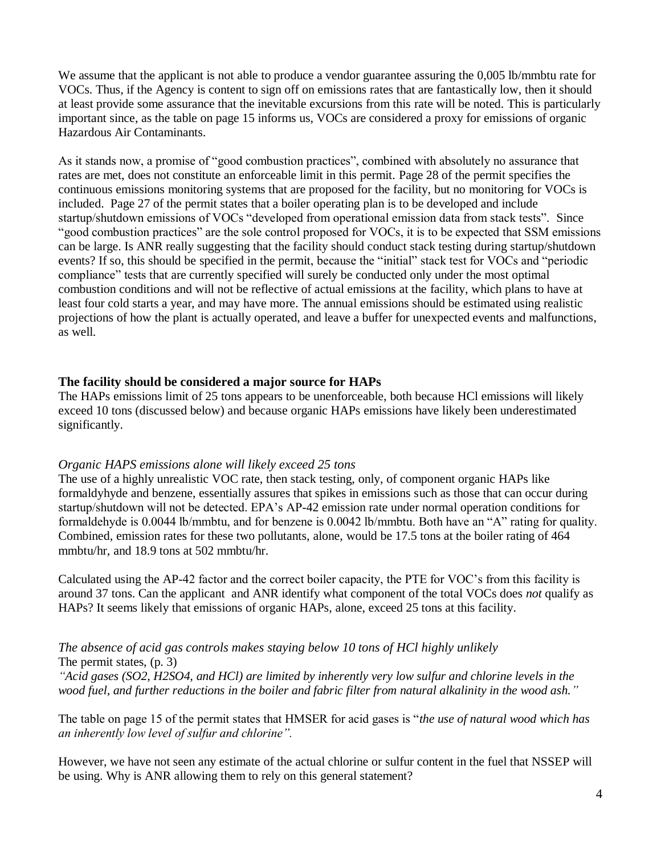We assume that the applicant is not able to produce a vendor guarantee assuring the 0,005 lb/mmbtu rate for VOCs. Thus, if the Agency is content to sign off on emissions rates that are fantastically low, then it should at least provide some assurance that the inevitable excursions from this rate will be noted. This is particularly important since, as the table on page 15 informs us, VOCs are considered a proxy for emissions of organic Hazardous Air Contaminants.

As it stands now, a promise of "good combustion practices", combined with absolutely no assurance that rates are met, does not constitute an enforceable limit in this permit. Page 28 of the permit specifies the continuous emissions monitoring systems that are proposed for the facility, but no monitoring for VOCs is included. Page 27 of the permit states that a boiler operating plan is to be developed and include startup/shutdown emissions of VOCs "developed from operational emission data from stack tests". Since "good combustion practices" are the sole control proposed for VOCs, it is to be expected that SSM emissions can be large. Is ANR really suggesting that the facility should conduct stack testing during startup/shutdown events? If so, this should be specified in the permit, because the "initial" stack test for VOCs and "periodic compliance" tests that are currently specified will surely be conducted only under the most optimal combustion conditions and will not be reflective of actual emissions at the facility, which plans to have at least four cold starts a year, and may have more. The annual emissions should be estimated using realistic projections of how the plant is actually operated, and leave a buffer for unexpected events and malfunctions, as well.

#### <span id="page-3-0"></span>**The facility should be considered a major source for HAPs**

The HAPs emissions limit of 25 tons appears to be unenforceable, both because HCl emissions will likely exceed 10 tons (discussed below) and because organic HAPs emissions have likely been underestimated significantly.

#### <span id="page-3-1"></span>*Organic HAPS emissions alone will likely exceed 25 tons*

The use of a highly unrealistic VOC rate, then stack testing, only, of component organic HAPs like formaldyhyde and benzene, essentially assures that spikes in emissions such as those that can occur during startup/shutdown will not be detected. EPA's AP-42 emission rate under normal operation conditions for formaldehyde is 0.0044 lb/mmbtu, and for benzene is 0.0042 lb/mmbtu. Both have an "A" rating for quality. Combined, emission rates for these two pollutants, alone, would be 17.5 tons at the boiler rating of 464 mmbtu/hr, and 18.9 tons at 502 mmbtu/hr.

Calculated using the AP-42 factor and the correct boiler capacity, the PTE for VOC's from this facility is around 37 tons. Can the applicant and ANR identify what component of the total VOCs does *not* qualify as HAPs? It seems likely that emissions of organic HAPs, alone, exceed 25 tons at this facility.

<span id="page-3-2"></span>*The absence of acid gas controls makes staying below 10 tons of HCl highly unlikely* The permit states, (p. 3)

*"Acid gases (SO2, H2SO4, and HCl) are limited by inherently very low sulfur and chlorine levels in the wood fuel, and further reductions in the boiler and fabric filter from natural alkalinity in the wood ash."*

The table on page 15 of the permit states that HMSER for acid gases is "*the use of natural wood which has an inherently low level of sulfur and chlorine".*

However, we have not seen any estimate of the actual chlorine or sulfur content in the fuel that NSSEP will be using. Why is ANR allowing them to rely on this general statement?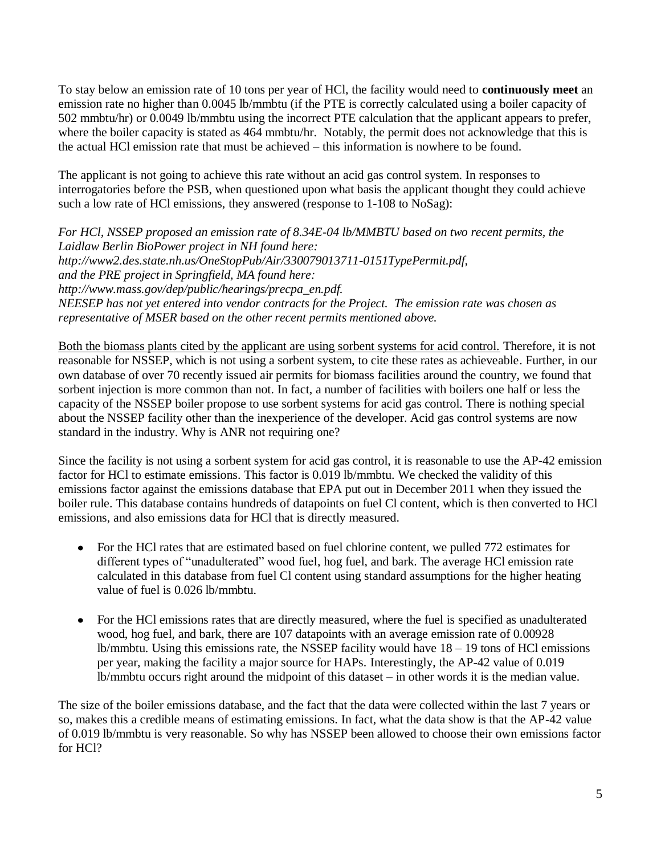To stay below an emission rate of 10 tons per year of HCl, the facility would need to **continuously meet** an emission rate no higher than 0.0045 lb/mmbtu (if the PTE is correctly calculated using a boiler capacity of 502 mmbtu/hr) or 0.0049 lb/mmbtu using the incorrect PTE calculation that the applicant appears to prefer, where the boiler capacity is stated as 464 mmbtu/hr. Notably, the permit does not acknowledge that this is the actual HCl emission rate that must be achieved – this information is nowhere to be found.

The applicant is not going to achieve this rate without an acid gas control system. In responses to interrogatories before the PSB, when questioned upon what basis the applicant thought they could achieve such a low rate of HCl emissions, they answered (response to 1-108 to NoSag):

*For HCl, NSSEP proposed an emission rate of 8.34E-04 lb/MMBTU based on two recent permits, the Laidlaw Berlin BioPower project in NH found here: http://www2.des.state.nh.us/OneStopPub/Air/330079013711-0151TypePermit.pdf, and the PRE project in Springfield, MA found here: http://www.mass.gov/dep/public/hearings/precpa\_en.pdf. NEESEP has not yet entered into vendor contracts for the Project. The emission rate was chosen as representative of MSER based on the other recent permits mentioned above.*

Both the biomass plants cited by the applicant are using sorbent systems for acid control. Therefore, it is not reasonable for NSSEP, which is not using a sorbent system, to cite these rates as achieveable. Further, in our own database of over 70 recently issued air permits for biomass facilities around the country, we found that sorbent injection is more common than not. In fact, a number of facilities with boilers one half or less the capacity of the NSSEP boiler propose to use sorbent systems for acid gas control. There is nothing special about the NSSEP facility other than the inexperience of the developer. Acid gas control systems are now standard in the industry. Why is ANR not requiring one?

Since the facility is not using a sorbent system for acid gas control, it is reasonable to use the AP-42 emission factor for HCl to estimate emissions. This factor is 0.019 lb/mmbtu. We checked the validity of this emissions factor against the emissions database that EPA put out in December 2011 when they issued the boiler rule. This database contains hundreds of datapoints on fuel Cl content, which is then converted to HCl emissions, and also emissions data for HCl that is directly measured.

- $\bullet$ For the HCl rates that are estimated based on fuel chlorine content, we pulled 772 estimates for different types of "unadulterated" wood fuel, hog fuel, and bark. The average HCl emission rate calculated in this database from fuel Cl content using standard assumptions for the higher heating value of fuel is 0.026 lb/mmbtu.
- For the HCl emissions rates that are directly measured, where the fuel is specified as unadulterated wood, hog fuel, and bark, there are 107 datapoints with an average emission rate of 0.00928 lb/mmbtu. Using this emissions rate, the NSSEP facility would have 18 – 19 tons of HCl emissions per year, making the facility a major source for HAPs. Interestingly, the AP-42 value of 0.019 lb/mmbtu occurs right around the midpoint of this dataset – in other words it is the median value.

The size of the boiler emissions database, and the fact that the data were collected within the last 7 years or so, makes this a credible means of estimating emissions. In fact, what the data show is that the AP-42 value of 0.019 lb/mmbtu is very reasonable. So why has NSSEP been allowed to choose their own emissions factor for HCl?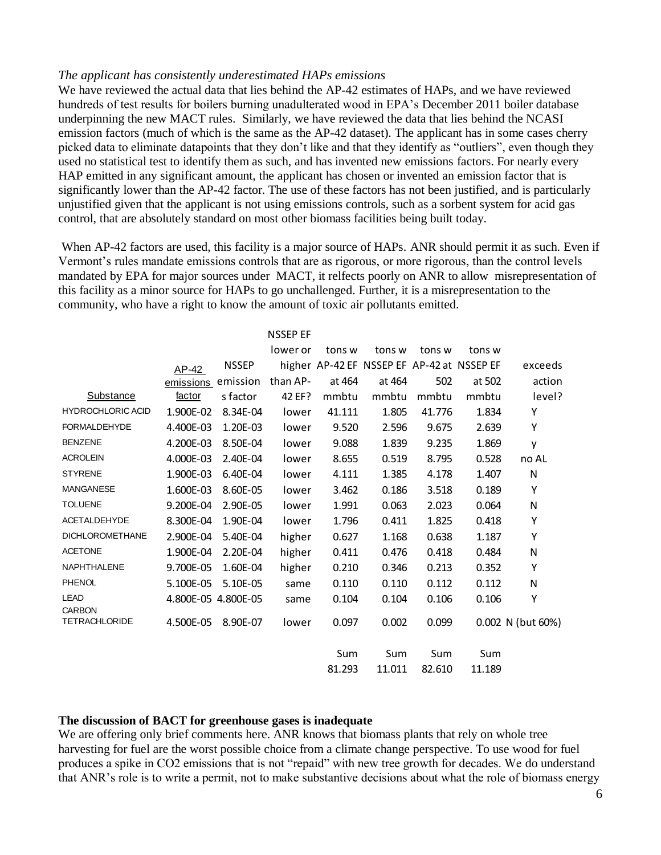#### <span id="page-5-0"></span>*The applicant has consistently underestimated HAPs emissions*

We have reviewed the actual data that lies behind the AP-42 estimates of HAPs, and we have reviewed hundreds of test results for boilers burning unadulterated wood in EPA's December 2011 boiler database underpinning the new MACT rules. Similarly, we have reviewed the data that lies behind the NCASI emission factors (much of which is the same as the AP-42 dataset). The applicant has in some cases cherry picked data to eliminate datapoints that they don't like and that they identify as "outliers", even though they used no statistical test to identify them as such, and has invented new emissions factors. For nearly every HAP emitted in any significant amount, the applicant has chosen or invented an emission factor that is significantly lower than the AP-42 factor. The use of these factors has not been justified, and is particularly unjustified given that the applicant is not using emissions controls, such as a sorbent system for acid gas control, that are absolutely standard on most other biomass facilities being built today.

When AP-42 factors are used, this facility is a major source of HAPs. ANR should permit it as such. Even if Vermont's rules mandate emissions controls that are as rigorous, or more rigorous, than the control levels mandated by EPA for major sources under MACT, it relfects poorly on ANR to allow misrepresentation of this facility as a minor source for HAPs to go unchallenged. Further, it is a misrepresentation to the community, who have a right to know the amount of toxic air pollutants emitted.

|                                       |           |                     | NSSEP EF |        |                                            |        |        |                   |
|---------------------------------------|-----------|---------------------|----------|--------|--------------------------------------------|--------|--------|-------------------|
|                                       |           |                     | lower or | tons w | tons w                                     | tons w | tons w |                   |
|                                       | AP-42     | <b>NSSEP</b>        |          |        | higher AP-42 EF NSSEP EF AP-42 at NSSEP EF |        |        | exceeds           |
|                                       | emissions | emission            | than AP- | at 464 | at 464                                     | 502    | at 502 | action            |
| <b>Substance</b>                      | factor    | s factor            | 42 EF?   | mmbtu  | mmbtu                                      | mmbtu  | mmbtu  | level?            |
| <b>HYDROCHLORIC ACID</b>              | 1.900E-02 | 8.34E-04            | lower    | 41.111 | 1.805                                      | 41.776 | 1.834  | Y                 |
| <b>FORMALDEHYDE</b>                   | 4.400E-03 | 1.20E-03            | lower    | 9.520  | 2.596                                      | 9.675  | 2.639  | Υ                 |
| <b>BENZENE</b>                        | 4.200E-03 | 8.50E-04            | lower    | 9.088  | 1.839                                      | 9.235  | 1.869  | y                 |
| <b>ACROLEIN</b>                       | 4.000E-03 | 2.40E-04            | lower    | 8.655  | 0.519                                      | 8.795  | 0.528  | no AL             |
| <b>STYRENE</b>                        | 1.900E-03 | 6.40E-04            | lower    | 4.111  | 1.385                                      | 4.178  | 1.407  | N                 |
| <b>MANGANESE</b>                      | 1.600E-03 | 8.60E-05            | lower    | 3.462  | 0.186                                      | 3.518  | 0.189  | Υ                 |
| <b>TOLUENE</b>                        | 9.200E-04 | 2.90E-05            | lower    | 1.991  | 0.063                                      | 2.023  | 0.064  | N                 |
| <b>ACETALDEHYDE</b>                   | 8.300E-04 | 1.90E-04            | lower    | 1.796  | 0.411                                      | 1.825  | 0.418  | Υ                 |
| <b>DICHLOROMETHANE</b>                | 2.900E-04 | 5.40E-04            | higher   | 0.627  | 1.168                                      | 0.638  | 1.187  | Υ                 |
| <b>ACETONE</b>                        | 1.900E-04 | 2.20E-04            | higher   | 0.411  | 0.476                                      | 0.418  | 0.484  | ${\sf N}$         |
| NAPHTHALENE                           | 9.700E-05 | 1.60E-04            | higher   | 0.210  | 0.346                                      | 0.213  | 0.352  | Υ                 |
| <b>PHENOL</b>                         | 5.100E-05 | 5.10E-05            | same     | 0.110  | 0.110                                      | 0.112  | 0.112  | N                 |
| <b>LEAD</b>                           |           | 4.800E-05 4.800E-05 | same     | 0.104  | 0.104                                      | 0.106  | 0.106  | Υ                 |
| <b>CARBON</b><br><b>TETRACHLORIDE</b> |           |                     |          |        |                                            |        |        |                   |
|                                       | 4.500E-05 | 8.90E-07            | lower    | 0.097  | 0.002                                      | 0.099  |        | 0.002 N (but 60%) |
|                                       |           |                     |          | Sum    | Sum                                        | Sum    | Sum    |                   |

#### <span id="page-5-1"></span>**The discussion of BACT for greenhouse gases is inadequate**

We are offering only brief comments here. ANR knows that biomass plants that rely on whole tree harvesting for fuel are the worst possible choice from a climate change perspective. To use wood for fuel produces a spike in CO2 emissions that is not "repaid" with new tree growth for decades. We do understand that ANR's role is to write a permit, not to make substantive decisions about what the role of biomass energy

81.293 11.011 82.610 11.189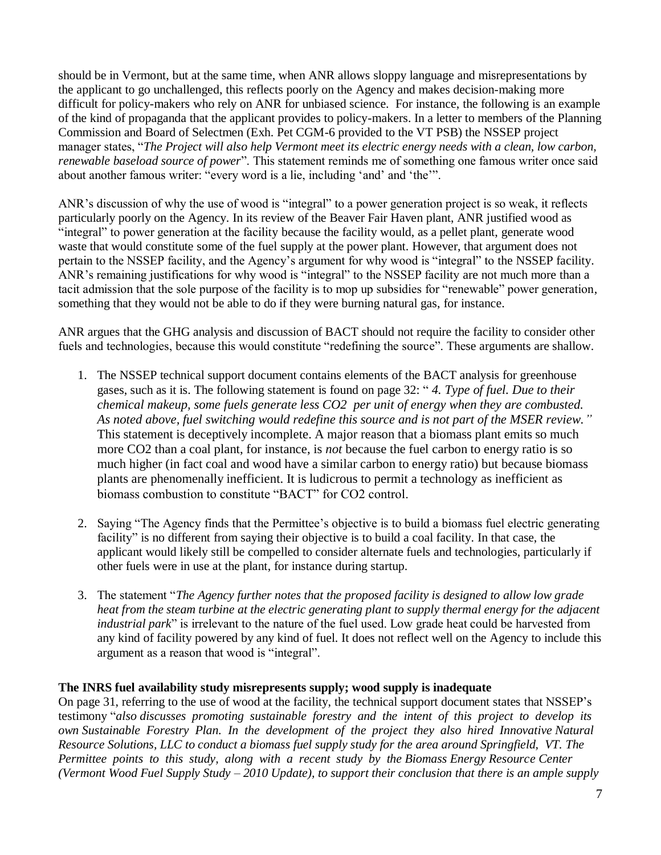should be in Vermont, but at the same time, when ANR allows sloppy language and misrepresentations by the applicant to go unchallenged, this reflects poorly on the Agency and makes decision-making more difficult for policy-makers who rely on ANR for unbiased science. For instance, the following is an example of the kind of propaganda that the applicant provides to policy-makers. In a letter to members of the Planning Commission and Board of Selectmen (Exh. Pet CGM-6 provided to the VT PSB) the NSSEP project manager states, "*The Project will also help Vermont meet its electric energy needs with a clean, low carbon, renewable baseload source of power*". This statement reminds me of something one famous writer once said about another famous writer: "every word is a lie, including 'and' and 'the'".

ANR's discussion of why the use of wood is "integral" to a power generation project is so weak, it reflects particularly poorly on the Agency. In its review of the Beaver Fair Haven plant, ANR justified wood as "integral" to power generation at the facility because the facility would, as a pellet plant, generate wood waste that would constitute some of the fuel supply at the power plant. However, that argument does not pertain to the NSSEP facility, and the Agency's argument for why wood is "integral" to the NSSEP facility. ANR's remaining justifications for why wood is "integral" to the NSSEP facility are not much more than a tacit admission that the sole purpose of the facility is to mop up subsidies for "renewable" power generation, something that they would not be able to do if they were burning natural gas, for instance.

ANR argues that the GHG analysis and discussion of BACT should not require the facility to consider other fuels and technologies, because this would constitute "redefining the source". These arguments are shallow.

- 1. The NSSEP technical support document contains elements of the BACT analysis for greenhouse gases, such as it is. The following statement is found on page 32: " *4. Type of fuel. Due to their chemical makeup, some fuels generate less CO2 per unit of energy when they are combusted. As noted above, fuel switching would redefine this source and is not part of the MSER review."*  This statement is deceptively incomplete. A major reason that a biomass plant emits so much more CO2 than a coal plant, for instance, is *not* because the fuel carbon to energy ratio is so much higher (in fact coal and wood have a similar carbon to energy ratio) but because biomass plants are phenomenally inefficient. It is ludicrous to permit a technology as inefficient as biomass combustion to constitute "BACT" for CO2 control.
- 2. Saying "The Agency finds that the Permittee's objective is to build a biomass fuel electric generating facility" is no different from saying their objective is to build a coal facility. In that case, the applicant would likely still be compelled to consider alternate fuels and technologies, particularly if other fuels were in use at the plant, for instance during startup.
- 3. The statement "*The Agency further notes that the proposed facility is designed to allow low grade heat from the steam turbine at the electric generating plant to supply thermal energy for the adjacent industrial park*" is irrelevant to the nature of the fuel used. Low grade heat could be harvested from any kind of facility powered by any kind of fuel. It does not reflect well on the Agency to include this argument as a reason that wood is "integral".

# <span id="page-6-0"></span>**The INRS fuel availability study misrepresents supply; wood supply is inadequate**

On page 31, referring to the use of wood at the facility, the technical support document states that NSSEP's testimony "*also discusses promoting sustainable forestry and the intent of this project to develop its own Sustainable Forestry Plan. In the development of the project they also hired Innovative Natural Resource Solutions, LLC to conduct a biomass fuel supply study for the area around Springfield, VT. The Permittee points to this study, along with a recent study by the Biomass Energy Resource Center (Vermont Wood Fuel Supply Study – 2010 Update), to support their conclusion that there is an ample supply*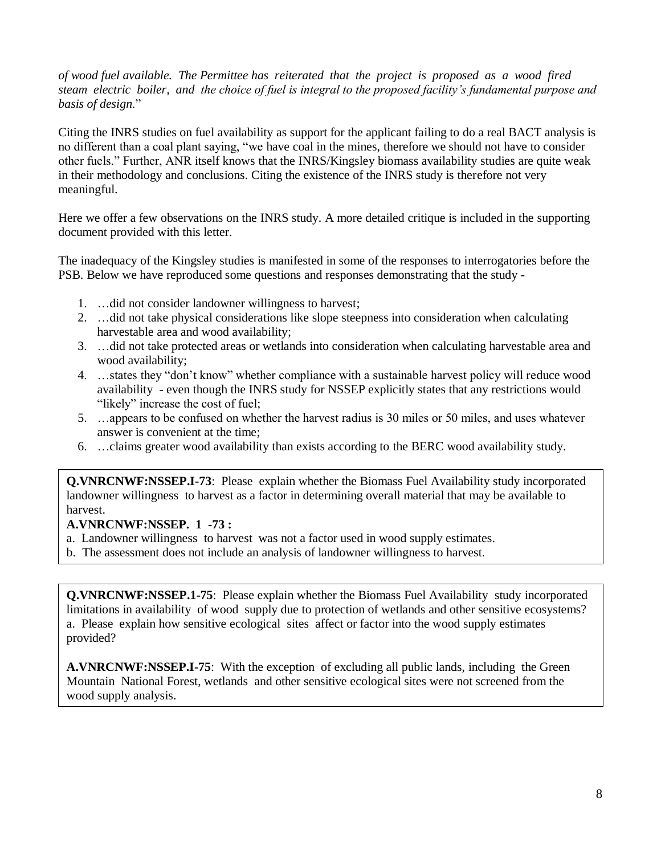*of wood fuel available. The Permittee has reiterated that the project is proposed as a wood fired steam electric boiler, and the choice of fuel is integral to the proposed facility's fundamental purpose and basis of design*."

Citing the INRS studies on fuel availability as support for the applicant failing to do a real BACT analysis is no different than a coal plant saying, "we have coal in the mines, therefore we should not have to consider other fuels." Further, ANR itself knows that the INRS/Kingsley biomass availability studies are quite weak in their methodology and conclusions. Citing the existence of the INRS study is therefore not very meaningful.

Here we offer a few observations on the INRS study. A more detailed critique is included in the supporting document provided with this letter.

The inadequacy of the Kingsley studies is manifested in some of the responses to interrogatories before the PSB. Below we have reproduced some questions and responses demonstrating that the study -

- 1. …did not consider landowner willingness to harvest;
- 2. …did not take physical considerations like slope steepness into consideration when calculating harvestable area and wood availability;
- 3. …did not take protected areas or wetlands into consideration when calculating harvestable area and wood availability;
- 4. …states they "don't know" whether compliance with a sustainable harvest policy will reduce wood availability - even though the INRS study for NSSEP explicitly states that any restrictions would "likely" increase the cost of fuel;
- 5. …appears to be confused on whether the harvest radius is 30 miles or 50 miles, and uses whatever answer is convenient at the time;
- 6. …claims greater wood availability than exists according to the BERC wood availability study.

**Q.VNRCNWF:NSSEP.I-73**: Please explain whether the Biomass Fuel Availability study incorporated landowner willingness to harvest as a factor in determining overall material that may be available to harvest.

# **A.VNRCNWF:NSSEP. 1 -73 :**

- a. Landowner willingness to harvest was not a factor used in wood supply estimates.
- b. The assessment does not include an analysis of landowner willingness to harvest.

**Q. VNRCNWF:NSSEP.I-742** Please explain whether the Biomass Fuel Availability study incorporated **Q.VNRCNWF:NSSEP.1-75**: Please explain whether the Biomass Fuel Availability study incorporated limitations in availability of wood supply due to protection of wetlands and other sensitive ecosystems? **A.** I. The excluding all public lands, including all public lands, including all public lands, including the Green of  $\mathbb{R}$  and  $\mathbb{R}$  are green of the Green of excluding the Green of  $\mathbb{R}$  and  $\mathbb{R}$  are green a. Please explain how sensitive ecological sites affect or factor into the wood supply estimates provided?

**A.VNRCNWF:NSSEP.I-75**: With the exception of excluding all public lands, including the Green Mountain National Forest, wetlands and other sensitive ecological sites were not screened from the wood supply analysis.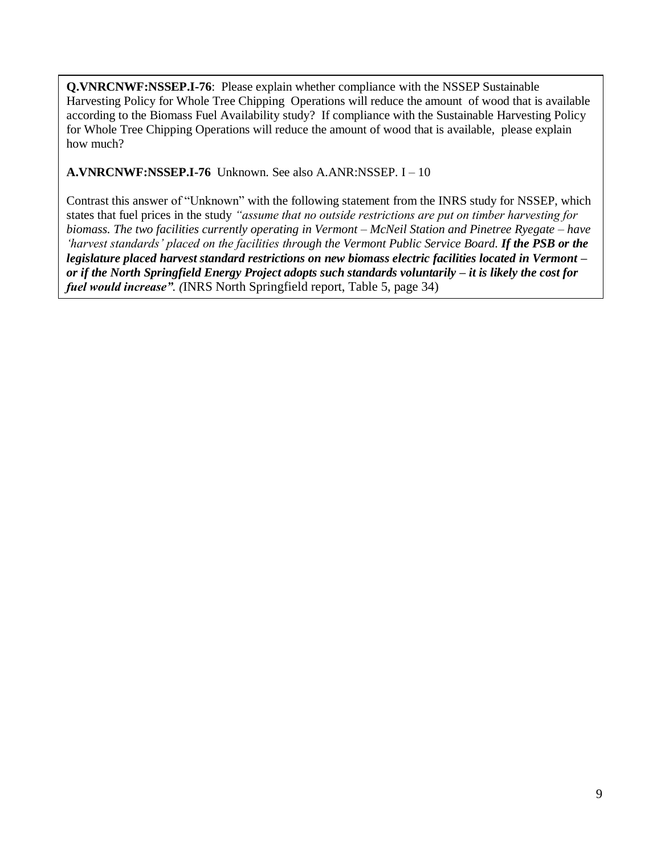**Q.VNRCNWF:NSSEP.I-76**: Please explain whether compliance with the NSSEP Sustainable Harvesting Policy for Whole Tree Chipping Operations will reduce the amount of wood that is available according to the Biomass Fuel Availability study? If compliance with the Sustainable Harvesting Policy for Whole Tree Chipping Operations will reduce the amount of wood that is available, please explain how much?

**A.VNRCNWF:NSSEP.I-76** Unknown. See also A.ANR:NSSEP. I – 10

Contrast this answer of "Unknown" with the following statement from the INRS study for NSSEP, which states that fuel prices in the study *"assume that no outside restrictions are put on timber harvesting for biomass. The two facilities currently operating in Vermont – McNeil Station and Pinetree Ryegate – have 'harvest standards' placed on the facilities through the Vermont Public Service Board. If the PSB or the legislature placed harvest standard restrictions on new biomass electric facilities located in Vermont – or if the North Springfield Energy Project adopts such standards voluntarily – it is likely the cost for fuel would increase". (*INRS North Springfield report, Table 5, page 34)